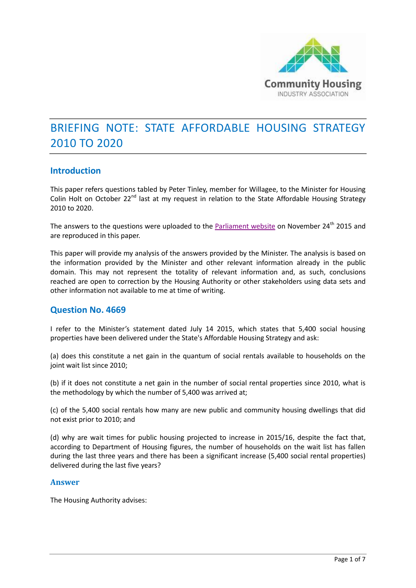

# BRIEFING NOTE: STATE AFFORDABLE HOUSING STRATEGY 2010 TO 2020

#### **Introduction**

This paper refers questions tabled by Peter Tinley, member for Willagee, to the Minister for Housing Colin Holt on October 22<sup>nd</sup> last at my request in relation to the State Affordable Housing Strategy 2010 to 2020.

The answers to the questions were uploaded to the [Parliament website](http://www.parliament.wa.gov.au/parliament/pquest.nsf/Parliament/pquest.nsf/SrchQON/391FFEB44DC942BA48257EE4001FE4A1?opendocument) on November 24<sup>th</sup> 2015 and are reproduced in this paper.

This paper will provide my analysis of the answers provided by the Minister. The analysis is based on the information provided by the Minister and other relevant information already in the public domain. This may not represent the totality of relevant information and, as such, conclusions reached are open to correction by the Housing Authority or other stakeholders using data sets and other information not available to me at time of writing.

#### **Question [No. 4669](http://www.parliament.wa.gov.au/parliament/pquest.nsf/Parliament/pquest.nsf/SrchQON/6AB63FA6F1EE8CBE48257EE5001D81E8?opendocument)**

I refer to the Minister's statement dated July 14 2015, which states that 5,400 social housing properties have been delivered under the State's Affordable Housing Strategy and ask:

(a) does this constitute a net gain in the quantum of social rentals available to households on the joint wait list since 2010;

(b) if it does not constitute a net gain in the number of social rental properties since 2010, what is the methodology by which the number of 5,400 was arrived at;

(c) of the 5,400 social rentals how many are new public and community housing dwellings that did not exist prior to 2010; and

(d) why are wait times for public housing projected to increase in 2015/16, despite the fact that, according to Department of Housing figures, the number of households on the wait list has fallen during the last three years and there has been a significant increase (5,400 social rental properties) delivered during the last five years?

#### **Answer**

The Housing Authority advises: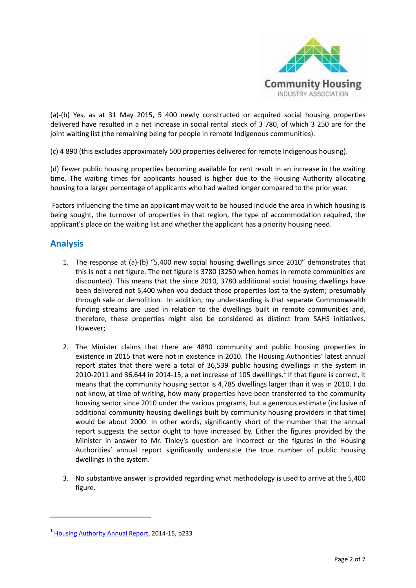

(a)-(b) Yes, as at 31 May 2015, 5 400 newly constructed or acquired social housing properties delivered have resulted in a net increase in social rental stock of 3 780, of which 3 250 are for the joint waiting list (the remaining being for people in remote Indigenous communities).

(c) 4 890 (this excludes approximately 500 properties delivered for remote Indigenous housing).

(d) Fewer public housing properties becoming available for rent result in an increase in the waiting time. The waiting times for applicants housed is higher due to the Housing Authority allocating housing to a larger percentage of applicants who had waited longer compared to the prior year.

Factors influencing the time an applicant may wait to be housed include the area in which housing is being sought, the turnover of properties in that region, the type of accommodation required, the applicant's place on the waiting list and whether the applicant has a priority housing need.

## **Analysis**

**.** 

- 1. The response at (a)-(b) "5,400 new social housing dwellings since 2010" demonstrates that this is not a net figure. The net figure is 3780 (3250 when homes in remote communities are discounted). This means that the since 2010, 3780 additional social housing dwellings have been delivered not 5,400 when you deduct those properties lost to the system; presumably through sale or demolition. In addition, my understanding is that separate Commonwealth funding streams are used in relation to the dwellings built in remote communities and, therefore, these properties might also be considered as distinct from SAHS initiatives. However;
- 2. The Minister claims that there are 4890 community and public housing properties in existence in 2015 that were not in existence in 2010. The Housing Authorities' latest annual report states that there were a total of 36,539 public housing dwellings in the system in 2010-2011 and 36,644 in 2014-15, a net increase of 105 dwellings.<sup>1</sup> If that figure is correct, it means that the community housing sector is 4,785 dwellings larger than it was in 2010. I do not know, at time of writing, how many properties have been transferred to the community housing sector since 2010 under the various programs, but a generous estimate (inclusive of additional community housing dwellings built by community housing providers in that time) would be about 2000. In other words, significantly short of the number that the annual report suggests the sector ought to have increased by. Either the figures provided by the Minister in answer to Mr. Tinley's question are incorrect or the figures in the Housing Authorities' annual report significantly understate the true number of public housing dwellings in the system.
- 3. No substantive answer is provided regarding what methodology is used to arrive at the 5,400 figure.

<sup>&</sup>lt;sup>1</sup> [Housing Authority](http://www.housing.wa.gov.au/HousingDocuments/housing_authority_annual_report_2014_15.pdf) Annual Report, 2014-15, p233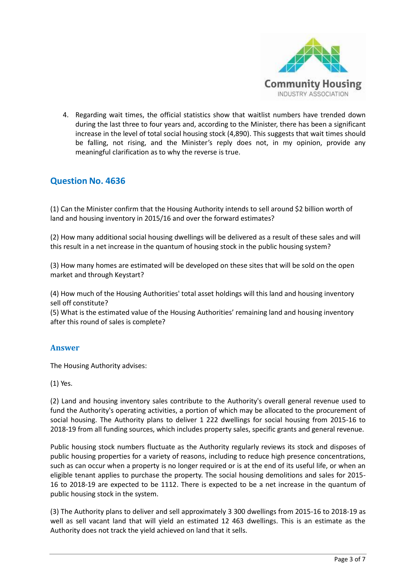

4. Regarding wait times, the official statistics show that waitlist numbers have trended down during the last three to four years and, according to the Minister, there has been a significant increase in the level of total social housing stock (4,890). This suggests that wait times should be falling, not rising, and the Minister's reply does not, in my opinion, provide any meaningful clarification as to why the reverse is true.

# **Question [No. 4636](http://www.parliament.wa.gov.au/parliament/pquest.nsf/Parliament/pquest.nsf/SrchQON/74DE0D24DF8CBD3F48257EE4001FE6EB?opendocument)**

(1) Can the Minister confirm that the Housing Authority intends to sell around \$2 billion worth of land and housing inventory in 2015/16 and over the forward estimates?

(2) How many additional social housing dwellings will be delivered as a result of these sales and will this result in a net increase in the quantum of housing stock in the public housing system?

(3) How many homes are estimated will be developed on these sites that will be sold on the open market and through Keystart?

(4) How much of the Housing Authorities' total asset holdings will this land and housing inventory sell off constitute?

(5) What is the estimated value of the Housing Authorities' remaining land and housing inventory after this round of sales is complete?

#### **Answer**

The Housing Authority advises:

(1) Yes.

(2) Land and housing inventory sales contribute to the Authority's overall general revenue used to fund the Authority's operating activities, a portion of which may be allocated to the procurement of social housing. The Authority plans to deliver 1 222 dwellings for social housing from 2015-16 to 2018-19 from all funding sources, which includes property sales, specific grants and general revenue.

Public housing stock numbers fluctuate as the Authority regularly reviews its stock and disposes of public housing properties for a variety of reasons, including to reduce high presence concentrations, such as can occur when a property is no longer required or is at the end of its useful life, or when an eligible tenant applies to purchase the property. The social housing demolitions and sales for 2015- 16 to 2018-19 are expected to be 1112. There is expected to be a net increase in the quantum of public housing stock in the system.

(3) The Authority plans to deliver and sell approximately 3 300 dwellings from 2015-16 to 2018-19 as well as sell vacant land that will yield an estimated 12 463 dwellings. This is an estimate as the Authority does not track the yield achieved on land that it sells.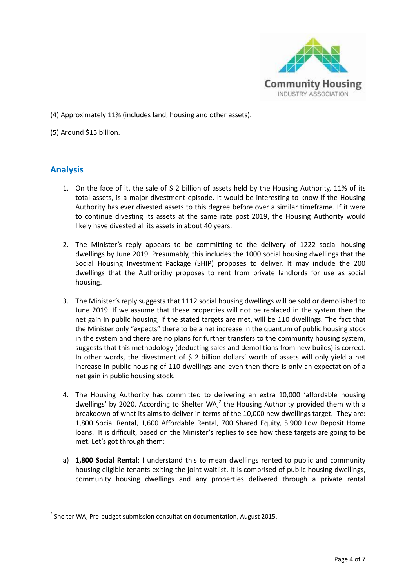

(4) Approximately 11% (includes land, housing and other assets).

(5) Around \$15 billion.

## **Analysis**

**.** 

- 1. On the face of it, the sale of \$ 2 billion of assets held by the Housing Authority, 11% of its total assets, is a major divestment episode. It would be interesting to know if the Housing Authority has ever divested assets to this degree before over a similar timeframe. If it were to continue divesting its assets at the same rate post 2019, the Housing Authority would likely have divested all its assets in about 40 years.
- 2. The Minister's reply appears to be committing to the delivery of 1222 social housing dwellings by June 2019. Presumably, this includes the 1000 social housing dwellings that the Social Housing Investment Package (SHIP) proposes to deliver. It may include the 200 dwellings that the Authorithy proposes to rent from private landlords for use as social housing.
- 3. The Minister's reply suggests that 1112 social housing dwellings will be sold or demolished to June 2019. If we assume that these properties will not be replaced in the system then the net gain in public housing, if the stated targets are met, will be 110 dwellings. The fact that the Minister only "expects" there to be a net increase in the quantum of public housing stock in the system and there are no plans for further transfers to the community housing system, suggests that this methodology (deducting sales and demolitions from new builds) is correct. In other words, the divestment of  $\frac{2}{3}$  billion dollars' worth of assets will only yield a net increase in public housing of 110 dwellings and even then there is only an expectation of a net gain in public housing stock.
- 4. The Housing Authority has committed to delivering an extra 10,000 'affordable housing dwellings' by 2020. According to Shelter WA, $^2$  the Housing Authority provided them with a breakdown of what its aims to deliver in terms of the 10,000 new dwellings target. They are: 1,800 Social Rental, 1,600 Affordable Rental, 700 Shared Equity, 5,900 Low Deposit Home loans. It is difficult, based on the Minister's replies to see how these targets are going to be met. Let's got through them:
- a) **1,800 Social Rental**: I understand this to mean dwellings rented to public and community housing eligible tenants exiting the joint waitlist. It is comprised of public housing dwellings, community housing dwellings and any properties delivered through a private rental

 $<sup>2</sup>$  Shelter WA, Pre-budget submission consultation documentation, August 2015.</sup>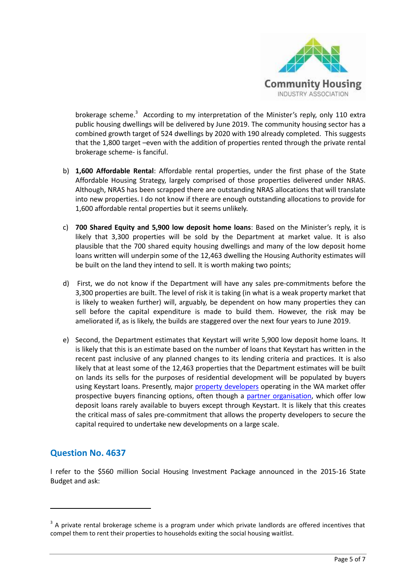

brokerage scheme.<sup>3</sup> According to my interpretation of the Minister's reply, only 110 extra public housing dwellings will be delivered by June 2019. The community housing sector has a combined growth target of 524 dwellings by 2020 with 190 already completed. This suggests that the 1,800 target –even with the addition of properties rented through the private rental brokerage scheme- is fanciful.

- b) **1,600 Affordable Rental**: Affordable rental properties, under the first phase of the State Affordable Housing Strategy, largely comprised of those properties delivered under NRAS. Although, NRAS has been scrapped there are outstanding NRAS allocations that will translate into new properties. I do not know if there are enough outstanding allocations to provide for 1,600 affordable rental properties but it seems unlikely.
- c) **700 Shared Equity and 5,900 low deposit home loans**: Based on the Minister's reply, it is likely that 3,300 properties will be sold by the Department at market value. It is also plausible that the 700 shared equity housing dwellings and many of the low deposit home loans written will underpin some of the 12,463 dwelling the Housing Authority estimates will be built on the land they intend to sell. It is worth making two points;
- d) First, we do not know if the Department will have any sales pre-commitments before the 3,300 properties are built. The level of risk it is taking (in what is a weak property market that is likely to weaken further) will, arguably, be dependent on how many properties they can sell before the capital expenditure is made to build them. However, the risk may be ameliorated if, as is likely, the builds are staggered over the next four years to June 2019.
- e) Second, the Department estimates that Keystart will write 5,900 low deposit home loans. It is likely that this is an estimate based on the number of loans that Keystart has written in the recent past inclusive of any planned changes to its lending criteria and practices. It is also likely that at least some of the 12,463 properties that the Department estimates will be built on lands its sells for the purposes of residential development will be populated by buyers using Keystart loans. Presently, major [property developers](http://www.wahousingcentre.com.au/) operating in the WA market offer prospective buyers financing options, often though a partner [organisation,](http://www.theloanco.com.au/loan_keystart.html) which offer low deposit loans rarely available to buyers except through Keystart. It is likely that this creates the critical mass of sales pre-commitment that allows the property developers to secure the capital required to undertake new developments on a large scale.

# **Question No. [4637](http://www.parliament.wa.gov.au/parliament/pquest.nsf/Parliament/pquest.nsf/SrchQON/391FFEB44DC942BA48257EE4001FE4A1?opendocument)**

**.** 

I refer to the \$560 million Social Housing Investment Package announced in the 2015-16 State Budget and ask:

 $3$  A private rental brokerage scheme is a program under which private landlords are offered incentives that compel them to rent their properties to households exiting the social housing waitlist.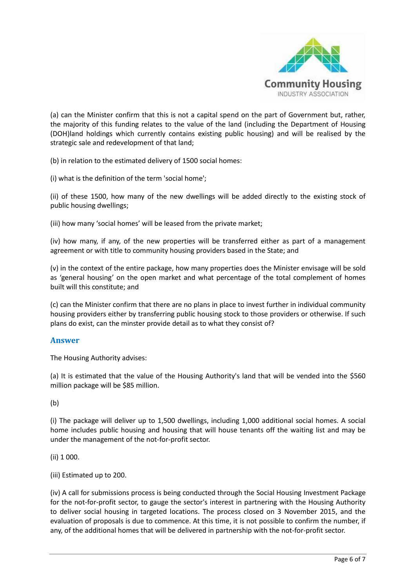

(a) can the Minister confirm that this is not a capital spend on the part of Government but, rather, the majority of this funding relates to the value of the land (including the Department of Housing (DOH)land holdings which currently contains existing public housing) and will be realised by the strategic sale and redevelopment of that land;

(b) in relation to the estimated delivery of 1500 social homes:

(i) what is the definition of the term 'social home';

(ii) of these 1500, how many of the new dwellings will be added directly to the existing stock of public housing dwellings;

(iii) how many 'social homes' will be leased from the private market;

(iv) how many, if any, of the new properties will be transferred either as part of a management agreement or with title to community housing providers based in the State; and

(v) in the context of the entire package, how many properties does the Minister envisage will be sold as 'general housing' on the open market and what percentage of the total complement of homes built will this constitute; and

(c) can the Minister confirm that there are no plans in place to invest further in individual community housing providers either by transferring public housing stock to those providers or otherwise. If such plans do exist, can the minster provide detail as to what they consist of?

#### **Answer**

The Housing Authority advises:

(a) It is estimated that the value of the Housing Authority's land that will be vended into the \$560 million package will be \$85 million.

(b)

(i) The package will deliver up to 1,500 dwellings, including 1,000 additional social homes. A social home includes public housing and housing that will house tenants off the waiting list and may be under the management of the not-for-profit sector.

(ii) 1 000.

(iii) Estimated up to 200.

(iv) A call for submissions process is being conducted through the Social Housing Investment Package for the not-for-profit sector, to gauge the sector's interest in partnering with the Housing Authority to deliver social housing in targeted locations. The process closed on 3 November 2015, and the evaluation of proposals is due to commence. At this time, it is not possible to confirm the number, if any, of the additional homes that will be delivered in partnership with the not-for-profit sector.